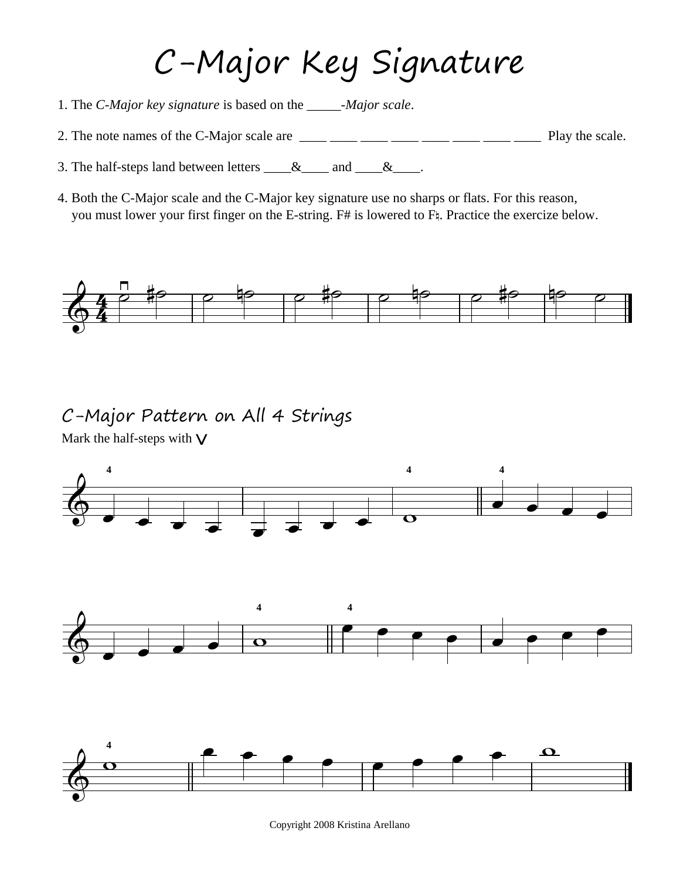## C-Major Key Signature

- 1. The *C-Major key signature* is based on the *\_\_\_\_\_-Major scale*.
- 2. The note names of the C-Major scale are  $\frac{1}{\sqrt{2}}$   $\frac{1}{\sqrt{2}}$   $\frac{1}{\sqrt{2}}$   $\frac{1}{\sqrt{2}}$  Play the scale.
- 3. The half-steps land between letters  $\underline{\hspace{1cm}} \& \underline{\hspace{1cm}}$  and  $\underline{\hspace{1cm}} \& \underline{\hspace{1cm}}$ .
- 4. Both the C-Major scale and the C-Major key signature use no sharps or flats. For this reason, you must lower your first finger on the E-string. F# is lowered to F§. Practice the exercize below.



## C-Major Pattern on All 4 Strings

Mark the half-steps with  $\vee$ 



Copyright 2008 Kristina Arellano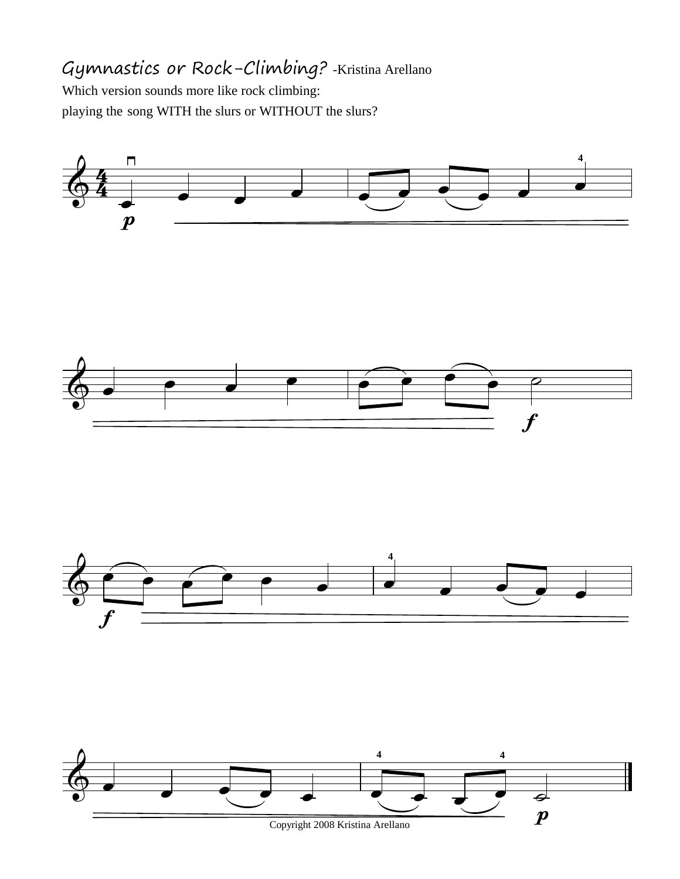## Gymnastics or Rock-Climbing? -Kristina Arellano

Which version sounds more like rock climbing: playing the song WITH the slurs or WITHOUT the slurs?



![](_page_1_Figure_3.jpeg)

![](_page_1_Figure_4.jpeg)